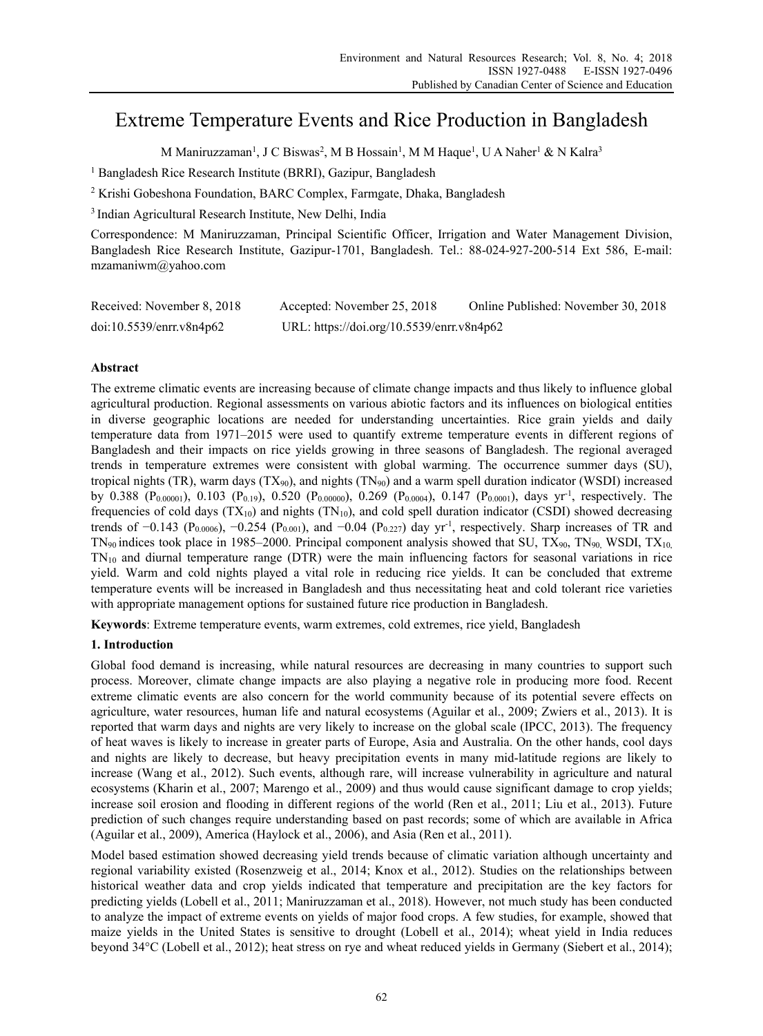# Extreme Temperature Events and Rice Production in Bangladesh

M Maniruzzaman<sup>1</sup>, J C Biswas<sup>2</sup>, M B Hossain<sup>1</sup>, M M Haque<sup>1</sup>, U A Naher<sup>1</sup> & N Kalra<sup>3</sup>

<sup>1</sup> Bangladesh Rice Research Institute (BRRI), Gazipur, Bangladesh

2 Krishi Gobeshona Foundation, BARC Complex, Farmgate, Dhaka, Bangladesh

3 Indian Agricultural Research Institute, New Delhi, India

Correspondence: M Maniruzzaman, Principal Scientific Officer, Irrigation and Water Management Division, Bangladesh Rice Research Institute, Gazipur-1701, Bangladesh. Tel.: 88-024-927-200-514 Ext 586, E-mail: mzamaniwm@yahoo.com

| Received: November 8, 2018 | Accepted: November 25, 2018               | Online Published: November 30, 2018 |
|----------------------------|-------------------------------------------|-------------------------------------|
| doi:10.5539/enrr.v8n4p62   | URL: https://doi.org/10.5539/enrr.v8n4p62 |                                     |

# **Abstract**

The extreme climatic events are increasing because of climate change impacts and thus likely to influence global agricultural production. Regional assessments on various abiotic factors and its influences on biological entities in diverse geographic locations are needed for understanding uncertainties. Rice grain yields and daily temperature data from 1971–2015 were used to quantify extreme temperature events in different regions of Bangladesh and their impacts on rice yields growing in three seasons of Bangladesh. The regional averaged trends in temperature extremes were consistent with global warming. The occurrence summer days (SU), tropical nights (TR), warm days  $(TX_{90})$ , and nights  $(TN_{90})$  and a warm spell duration indicator (WSDI) increased by 0.388 ( $P_{0.00001}$ ), 0.103 ( $P_{0.19}$ ), 0.520 ( $P_{0.00000}$ ), 0.269 ( $P_{0.0004}$ ), 0.147 ( $P_{0.0001}$ ), days yr<sup>-1</sup>, respectively. The frequencies of cold days  $(TX_{10})$  and nights  $(TN_{10})$ , and cold spell duration indicator (CSDI) showed decreasing trends of  $-0.143$  (P<sub>0.0006</sub>),  $-0.254$  (P<sub>0.001</sub>), and  $-0.04$  (P<sub>0.227</sub>) day yr<sup>-1</sup>, respectively. Sharp increases of TR and  $TN_{90}$  indices took place in 1985–2000. Principal component analysis showed that SU,  $TX_{90}$ ,  $TN_{90}$ , WSDI,  $TX_{10}$ ,  $TN_{10}$  and diurnal temperature range (DTR) were the main influencing factors for seasonal variations in rice yield. Warm and cold nights played a vital role in reducing rice yields. It can be concluded that extreme temperature events will be increased in Bangladesh and thus necessitating heat and cold tolerant rice varieties with appropriate management options for sustained future rice production in Bangladesh.

**Keywords**: Extreme temperature events, warm extremes, cold extremes, rice yield, Bangladesh

# **1. Introduction**

Global food demand is increasing, while natural resources are decreasing in many countries to support such process. Moreover, climate change impacts are also playing a negative role in producing more food. Recent extreme climatic events are also concern for the world community because of its potential severe effects on agriculture, water resources, human life and natural ecosystems (Aguilar et al., 2009; Zwiers et al., 2013). It is reported that warm days and nights are very likely to increase on the global scale (IPCC, 2013). The frequency of heat waves is likely to increase in greater parts of Europe, Asia and Australia. On the other hands, cool days and nights are likely to decrease, but heavy precipitation events in many mid-latitude regions are likely to increase (Wang et al., 2012). Such events, although rare, will increase vulnerability in agriculture and natural ecosystems (Kharin et al., 2007; Marengo et al., 2009) and thus would cause significant damage to crop yields; increase soil erosion and flooding in different regions of the world (Ren et al., 2011; Liu et al., 2013). Future prediction of such changes require understanding based on past records; some of which are available in Africa (Aguilar et al., 2009), America (Haylock et al., 2006), and Asia (Ren et al., 2011).

Model based estimation showed decreasing yield trends because of climatic variation although uncertainty and regional variability existed (Rosenzweig et al., 2014; Knox et al., 2012). Studies on the relationships between historical weather data and crop yields indicated that temperature and precipitation are the key factors for predicting yields (Lobell et al., 2011; Maniruzzaman et al., 2018). However, not much study has been conducted to analyze the impact of extreme events on yields of major food crops. A few studies, for example, showed that maize yields in the United States is sensitive to drought (Lobell et al., 2014); wheat yield in India reduces beyond 34°C (Lobell et al., 2012); heat stress on rye and wheat reduced yields in Germany (Siebert et al., 2014);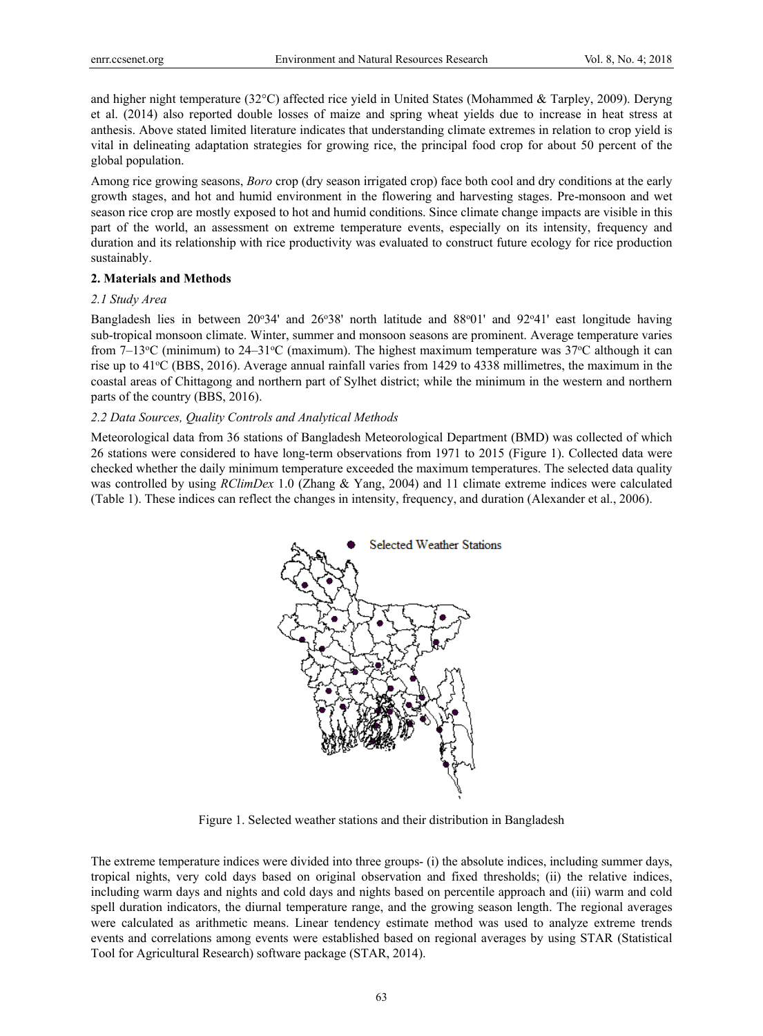and higher night temperature (32°C) affected rice yield in United States (Mohammed & Tarpley, 2009). Deryng et al. (2014) also reported double losses of maize and spring wheat yields due to increase in heat stress at anthesis. Above stated limited literature indicates that understanding climate extremes in relation to crop yield is vital in delineating adaptation strategies for growing rice, the principal food crop for about 50 percent of the global population.

Among rice growing seasons, *Boro* crop (dry season irrigated crop) face both cool and dry conditions at the early growth stages, and hot and humid environment in the flowering and harvesting stages. Pre-monsoon and wet season rice crop are mostly exposed to hot and humid conditions. Since climate change impacts are visible in this part of the world, an assessment on extreme temperature events, especially on its intensity, frequency and duration and its relationship with rice productivity was evaluated to construct future ecology for rice production sustainably.

### **2. Materials and Methods**

#### *2.1 Study Area*

Bangladesh lies in between 20°34' and 26°38' north latitude and 88°01' and 92°41' east longitude having sub-tropical monsoon climate. Winter, summer and monsoon seasons are prominent. Average temperature varies from  $7-13^{\circ}$ C (minimum) to  $24-31^{\circ}$ C (maximum). The highest maximum temperature was  $37^{\circ}$ C although it can rise up to 41<sup>o</sup>C (BBS, 2016). Average annual rainfall varies from 1429 to 4338 millimetres, the maximum in the coastal areas of Chittagong and northern part of Sylhet district; while the minimum in the western and northern parts of the country (BBS, 2016).

#### *2.2 Data Sources, Quality Controls and Analytical Methods*

Meteorological data from 36 stations of Bangladesh Meteorological Department (BMD) was collected of which 26 stations were considered to have long-term observations from 1971 to 2015 (Figure 1). Collected data were checked whether the daily minimum temperature exceeded the maximum temperatures. The selected data quality was controlled by using *RClimDex* 1.0 (Zhang & Yang, 2004) and 11 climate extreme indices were calculated (Table 1). These indices can reflect the changes in intensity, frequency, and duration (Alexander et al., 2006).



Figure 1. Selected weather stations and their distribution in Bangladesh

The extreme temperature indices were divided into three groups- (i) the absolute indices, including summer days, tropical nights, very cold days based on original observation and fixed thresholds; (ii) the relative indices, including warm days and nights and cold days and nights based on percentile approach and (iii) warm and cold spell duration indicators, the diurnal temperature range, and the growing season length. The regional averages were calculated as arithmetic means. Linear tendency estimate method was used to analyze extreme trends events and correlations among events were established based on regional averages by using STAR (Statistical Tool for Agricultural Research) software package (STAR, 2014).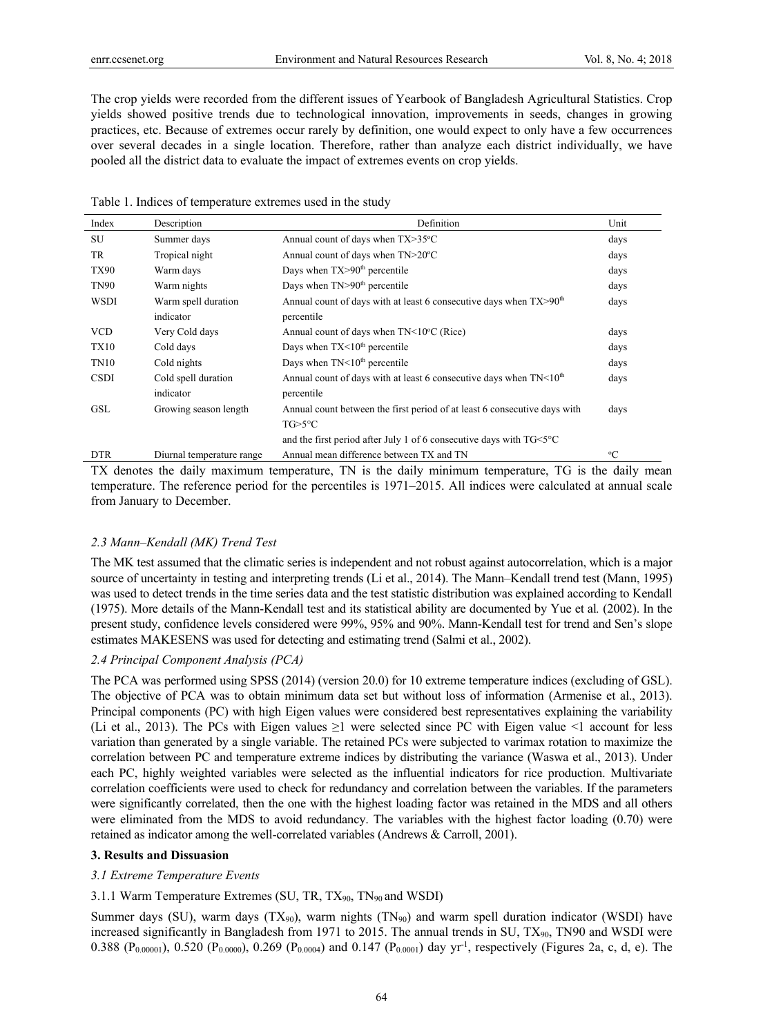The crop yields were recorded from the different issues of Yearbook of Bangladesh Agricultural Statistics. Crop yields showed positive trends due to technological innovation, improvements in seeds, changes in growing practices, etc. Because of extremes occur rarely by definition, one would expect to only have a few occurrences over several decades in a single location. Therefore, rather than analyze each district individually, we have pooled all the district data to evaluate the impact of extremes events on crop yields.

Table 1. Indices of temperature extremes used in the study

| Index       | Description               | Definition                                                                     | Unit        |
|-------------|---------------------------|--------------------------------------------------------------------------------|-------------|
| <b>SU</b>   | Summer days               | Annual count of days when TX>35°C                                              | days        |
| TR          | Tropical night            | Annual count of days when TN>20°C                                              | days        |
| <b>TX90</b> | Warm days                 | Days when $TX > 90th$ percentile                                               | days        |
| <b>TN90</b> | Warm nights               | Days when TN>90 <sup>th</sup> percentile                                       | days        |
| <b>WSDI</b> | Warm spell duration       | Annual count of days with at least 6 consecutive days when $TX > 90th$         | days        |
|             | indicator                 | percentile                                                                     |             |
| <b>VCD</b>  | Very Cold days            | Annual count of days when $TN < 10^{\circ}C$ (Rice)                            | days        |
| <b>TX10</b> | Cold days                 | Days when $TX < 10th$ percentile                                               | days        |
| TN10        | Cold nights               | Days when $TN<10th$ percentile                                                 | days        |
| <b>CSDI</b> | Cold spell duration       | Annual count of days with at least 6 consecutive days when $TN<10th$           | days        |
|             | indicator                 | percentile                                                                     |             |
| GSL         | Growing season length     | Annual count between the first period of at least 6 consecutive days with      | days        |
|             |                           | TG>5°C                                                                         |             |
|             |                           | and the first period after July 1 of 6 consecutive days with $TG < 5^{\circ}C$ |             |
| <b>DTR</b>  | Diurnal temperature range | Annual mean difference between TX and TN                                       | $\rm ^{o}C$ |

TX denotes the daily maximum temperature, TN is the daily minimum temperature, TG is the daily mean temperature. The reference period for the percentiles is 1971–2015. All indices were calculated at annual scale from January to December.

#### *2.3 Mann–Kendall (MK) Trend Test*

The MK test assumed that the climatic series is independent and not robust against autocorrelation, which is a major source of uncertainty in testing and interpreting trends (Li et al., 2014). The Mann–Kendall trend test (Mann, 1995) was used to detect trends in the time series data and the test statistic distribution was explained according to Kendall (1975). More details of the Mann-Kendall test and its statistical ability are documented by Yue et al*.* (2002). In the present study, confidence levels considered were 99%, 95% and 90%. Mann-Kendall test for trend and Sen's slope estimates MAKESENS was used for detecting and estimating trend (Salmi et al., 2002).

### *2.4 Principal Component Analysis (PCA)*

The PCA was performed using SPSS (2014) (version 20.0) for 10 extreme temperature indices (excluding of GSL). The objective of PCA was to obtain minimum data set but without loss of information (Armenise et al., 2013). Principal components (PC) with high Eigen values were considered best representatives explaining the variability (Li et al., 2013). The PCs with Eigen values  $\geq$ 1 were selected since PC with Eigen value <1 account for less variation than generated by a single variable. The retained PCs were subjected to varimax rotation to maximize the correlation between PC and temperature extreme indices by distributing the variance (Waswa et al., 2013). Under each PC, highly weighted variables were selected as the influential indicators for rice production. Multivariate correlation coefficients were used to check for redundancy and correlation between the variables. If the parameters were significantly correlated, then the one with the highest loading factor was retained in the MDS and all others were eliminated from the MDS to avoid redundancy. The variables with the highest factor loading (0.70) were retained as indicator among the well-correlated variables (Andrews & Carroll, 2001).

## **3. Results and Dissuasion**

## *3.1 Extreme Temperature Events*

## 3.1.1 Warm Temperature Extremes (SU, TR, TX90, TN90 and WSDI)

Summer days (SU), warm days  $(TX_{90})$ , warm nights  $(TN_{90})$  and warm spell duration indicator (WSDI) have increased significantly in Bangladesh from 1971 to 2015. The annual trends in SU, TX<sub>90</sub>, TN90 and WSDI were 0.388 (P<sub>0.00001</sub>), 0.520 (P<sub>0.0000</sub>), 0.269 (P<sub>0.0004</sub>) and 0.147 (P<sub>0.0001</sub>) day yr<sup>-1</sup>, respectively (Figures 2a, c, d, e). The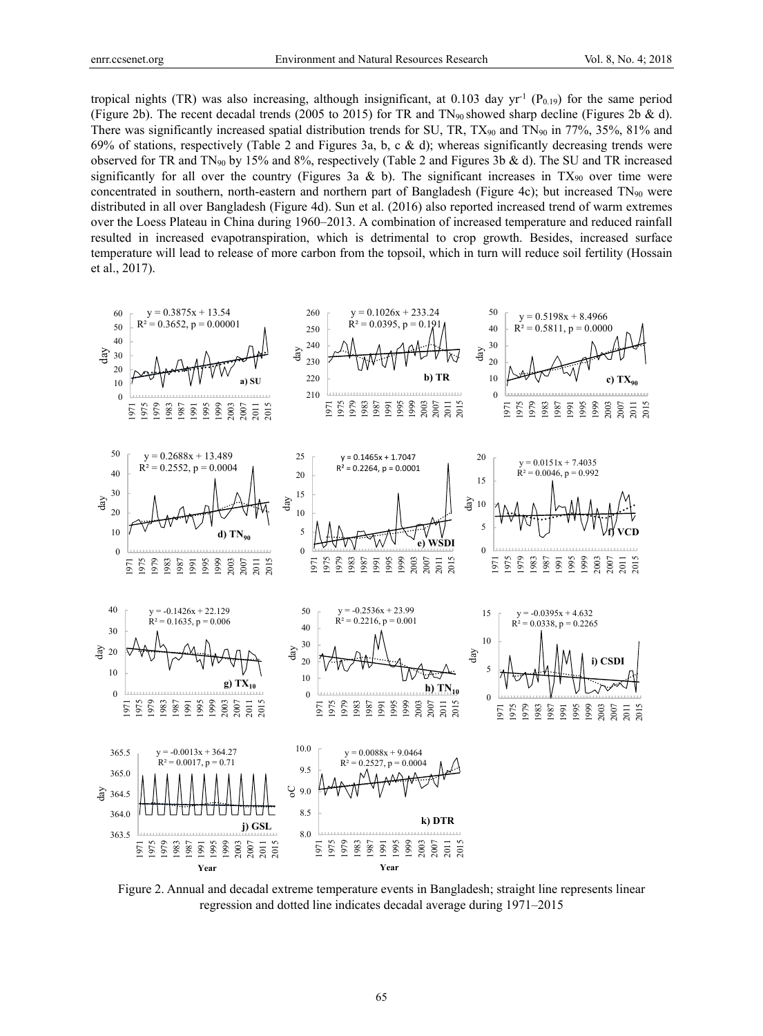tropical nights (TR) was also increasing, although insignificant, at 0.103 day  $yr^{-1}$  (P<sub>0.19</sub>) for the same period (Figure 2b). The recent decadal trends (2005 to 2015) for TR and  $TN_{90}$  showed sharp decline (Figures 2b & d). There was significantly increased spatial distribution trends for SU, TR,  $TX_{90}$  and  $TN_{90}$  in 77%, 35%, 81% and 69% of stations, respectively (Table 2 and Figures 3a, b, c & d); whereas significantly decreasing trends were observed for TR and  $TN_{90}$  by 15% and 8%, respectively (Table 2 and Figures 3b & d). The SU and TR increased significantly for all over the country (Figures 3a & b). The significant increases in  $TX_{90}$  over time were concentrated in southern, north-eastern and northern part of Bangladesh (Figure 4c); but increased TN90 were distributed in all over Bangladesh (Figure 4d). Sun et al. (2016) also reported increased trend of warm extremes over the Loess Plateau in China during 1960–2013. A combination of increased temperature and reduced rainfall resulted in increased evapotranspiration, which is detrimental to crop growth. Besides, increased surface temperature will lead to release of more carbon from the topsoil, which in turn will reduce soil fertility (Hossain et al., 2017).



Figure 2. Annual and decadal extreme temperature events in Bangladesh; straight line represents linear regression and dotted line indicates decadal average during 1971–2015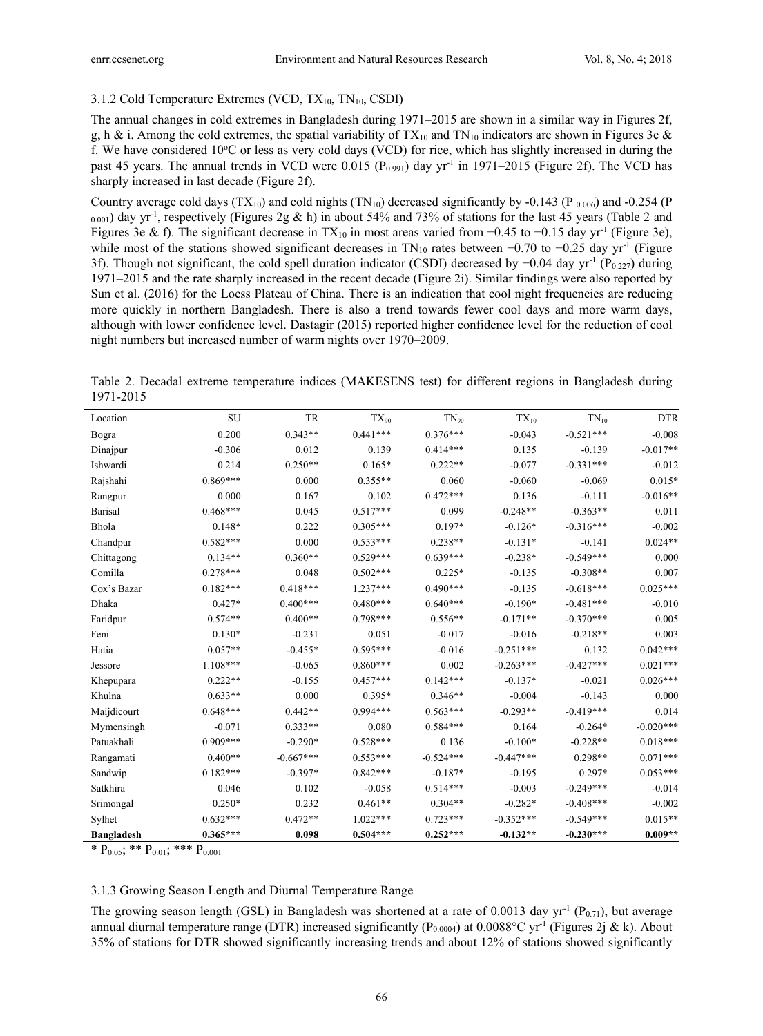## 3.1.2 Cold Temperature Extremes (VCD,  $TX_{10}$ ,  $TN_{10}$ , CSDI)

The annual changes in cold extremes in Bangladesh during 1971–2015 are shown in a similar way in Figures 2f, g, h & i. Among the cold extremes, the spatial variability of  $TX_{10}$  and  $TN_{10}$  indicators are shown in Figures 3e & f. We have considered 10°C or less as very cold days (VCD) for rice, which has slightly increased in during the past 45 years. The annual trends in VCD were 0.015 ( $P_{0.991}$ ) day yr<sup>-1</sup> in 1971–2015 (Figure 2f). The VCD has sharply increased in last decade (Figure 2f).

Country average cold days  $(TX_{10})$  and cold nights  $(TN_{10})$  decreased significantly by -0.143 (P  $_{0.006}$ ) and -0.254 (P  $_{0.001}$ ) day yr<sup>-1</sup>, respectively (Figures 2g & h) in about 54% and 73% of stations for the last 45 years (Table 2 and Figures 3e & f). The significant decrease in TX<sub>10</sub> in most areas varied from −0.45 to −0.15 day yr<sup>-1</sup> (Figure 3e), while most of the stations showed significant decreases in TN<sub>10</sub> rates between  $-0.70$  to  $-0.25$  day yr<sup>-1</sup> (Figure 3f). Though not significant, the cold spell duration indicator (CSDI) decreased by −0.04 day yr<sup>-1</sup> (P<sub>0.227</sub>) during 1971–2015 and the rate sharply increased in the recent decade (Figure 2i). Similar findings were also reported by Sun et al. (2016) for the Loess Plateau of China. There is an indication that cool night frequencies are reducing more quickly in northern Bangladesh. There is also a trend towards fewer cool days and more warm days, although with lower confidence level. Dastagir (2015) reported higher confidence level for the reduction of cool night numbers but increased number of warm nights over 1970–2009.

Table 2. Decadal extreme temperature indices (MAKESENS test) for different regions in Bangladesh during 1971-2015

| Location          | <b>SU</b>  | <b>TR</b>   | TX <sub>90</sub> | $TN_{90}$   | $TX_{10}$   | $TN_{10}$   | <b>DTR</b>  |
|-------------------|------------|-------------|------------------|-------------|-------------|-------------|-------------|
| Bogra             | 0.200      | $0.343**$   | $0.441***$       | $0.376***$  | $-0.043$    | $-0.521***$ | $-0.008$    |
| Dinajpur          | $-0.306$   | 0.012       | 0.139            | $0.414***$  | 0.135       | $-0.139$    | $-0.017**$  |
| Ishwardi          | 0.214      | $0.250**$   | $0.165*$         | $0.222**$   | $-0.077$    | $-0.331***$ | $-0.012$    |
| Rajshahi          | $0.869***$ | 0.000       | $0.355**$        | 0.060       | $-0.060$    | $-0.069$    | $0.015*$    |
| Rangpur           | 0.000      | 0.167       | 0.102            | $0.472***$  | 0.136       | $-0.111$    | $-0.016**$  |
| Barisal           | $0.468***$ | 0.045       | $0.517***$       | 0.099       | $-0.248**$  | $-0.363**$  | 0.011       |
| Bhola             | $0.148*$   | 0.222       | $0.305***$       | $0.197*$    | $-0.126*$   | $-0.316***$ | $-0.002$    |
| Chandpur          | $0.582***$ | 0.000       | $0.553***$       | $0.238**$   | $-0.131*$   | $-0.141$    | $0.024**$   |
| Chittagong        | $0.134**$  | $0.360**$   | $0.529***$       | $0.639***$  | $-0.238*$   | $-0.549***$ | 0.000       |
| Comilla           | $0.278***$ | 0.048       | $0.502***$       | $0.225*$    | $-0.135$    | $-0.308**$  | 0.007       |
| Cox's Bazar       | $0.182***$ | $0.418***$  | $1.237***$       | $0.490***$  | $-0.135$    | $-0.618***$ | $0.025***$  |
| Dhaka             | $0.427*$   | $0.400***$  | $0.480***$       | $0.640***$  | $-0.190*$   | $-0.481***$ | $-0.010$    |
| Faridpur          | $0.574**$  | $0.400**$   | $0.798***$       | $0.556**$   | $-0.171**$  | $-0.370***$ | 0.005       |
| Feni              | $0.130*$   | $-0.231$    | 0.051            | $-0.017$    | $-0.016$    | $-0.218**$  | 0.003       |
| Hatia             | $0.057**$  | $-0.455*$   | $0.595***$       | $-0.016$    | $-0.251***$ | 0.132       | $0.042***$  |
| Jessore           | $1.108***$ | $-0.065$    | $0.860***$       | 0.002       | $-0.263***$ | $-0.427***$ | $0.021***$  |
| Khepupara         | $0.222**$  | $-0.155$    | $0.457***$       | $0.142***$  | $-0.137*$   | $-0.021$    | $0.026***$  |
| Khulna            | $0.633**$  | 0.000       | $0.395*$         | $0.346**$   | $-0.004$    | $-0.143$    | 0.000       |
| Maijdicourt       | $0.648***$ | $0.442**$   | $0.994***$       | $0.563***$  | $-0.293**$  | $-0.419***$ | 0.014       |
| Mymensingh        | $-0.071$   | $0.333**$   | 0.080            | $0.584***$  | 0.164       | $-0.264*$   | $-0.020***$ |
| Patuakhali        | $0.909***$ | $-0.290*$   | $0.528***$       | 0.136       | $-0.100*$   | $-0.228**$  | $0.018***$  |
| Rangamati         | $0.400**$  | $-0.667***$ | $0.553***$       | $-0.524***$ | $-0.447***$ | $0.298**$   | $0.071***$  |
| Sandwip           | $0.182***$ | $-0.397*$   | $0.842***$       | $-0.187*$   | $-0.195$    | $0.297*$    | $0.053***$  |
| Satkhira          | 0.046      | 0.102       | $-0.058$         | $0.514***$  | $-0.003$    | $-0.249***$ | $-0.014$    |
| Srimongal         | $0.250*$   | 0.232       | $0.461**$        | $0.304**$   | $-0.282*$   | $-0.408***$ | $-0.002$    |
| Sylhet            | $0.632***$ | $0.472**$   | $1.022***$       | $0.723***$  | $-0.352***$ | $-0.549***$ | $0.015**$   |
| <b>Bangladesh</b> | $0.365***$ | 0.098       | $0.504***$       | $0.252***$  | $-0.132**$  | $-0.230***$ | $0.009**$   |

\*  $P_{0.05}$ ; \*\*  $P_{0.01}$ ; \*\*\*  $P_{0.001}$ 

## 3.1.3 Growing Season Length and Diurnal Temperature Range

The growing season length (GSL) in Bangladesh was shortened at a rate of 0.0013 day  $yr^{-1}$  (P<sub>0.71</sub>), but average annual diurnal temperature range (DTR) increased significantly (P<sub>0.0004</sub>) at 0.0088°C yr<sup>-1</sup> (Figures 2j & k). About 35% of stations for DTR showed significantly increasing trends and about 12% of stations showed significantly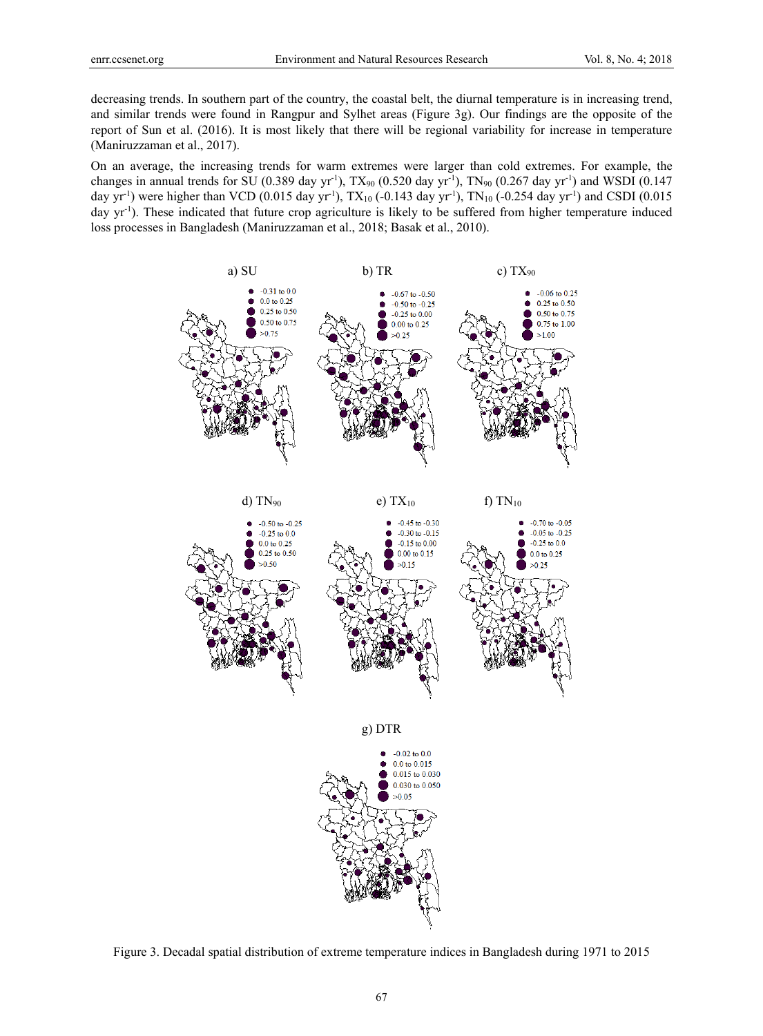decreasing trends. In southern part of the country, the coastal belt, the diurnal temperature is in increasing trend, and similar trends were found in Rangpur and Sylhet areas (Figure 3g). Our findings are the opposite of the report of Sun et al. (2016). It is most likely that there will be regional variability for increase in temperature (Maniruzzaman et al., 2017).

On an average, the increasing trends for warm extremes were larger than cold extremes. For example, the changes in annual trends for SU (0.389 day yr<sup>-1</sup>), TX<sub>90</sub> (0.520 day yr<sup>-1</sup>), TN<sub>90</sub> (0.267 day yr<sup>-1</sup>) and WSDI (0.147 day yr<sup>-1</sup>) were higher than VCD (0.015 day yr<sup>-1</sup>), TX<sub>10</sub> (-0.143 day yr<sup>-1</sup>), TN<sub>10</sub> (-0.254 day yr<sup>-1</sup>) and CSDI (0.015 day yr<sup>-1</sup>). These indicated that future crop agriculture is likely to be suffered from higher temperature induced loss processes in Bangladesh (Maniruzzaman et al., 2018; Basak et al., 2010).



Figure 3. Decadal spatial distribution of extreme temperature indices in Bangladesh during 1971 to 2015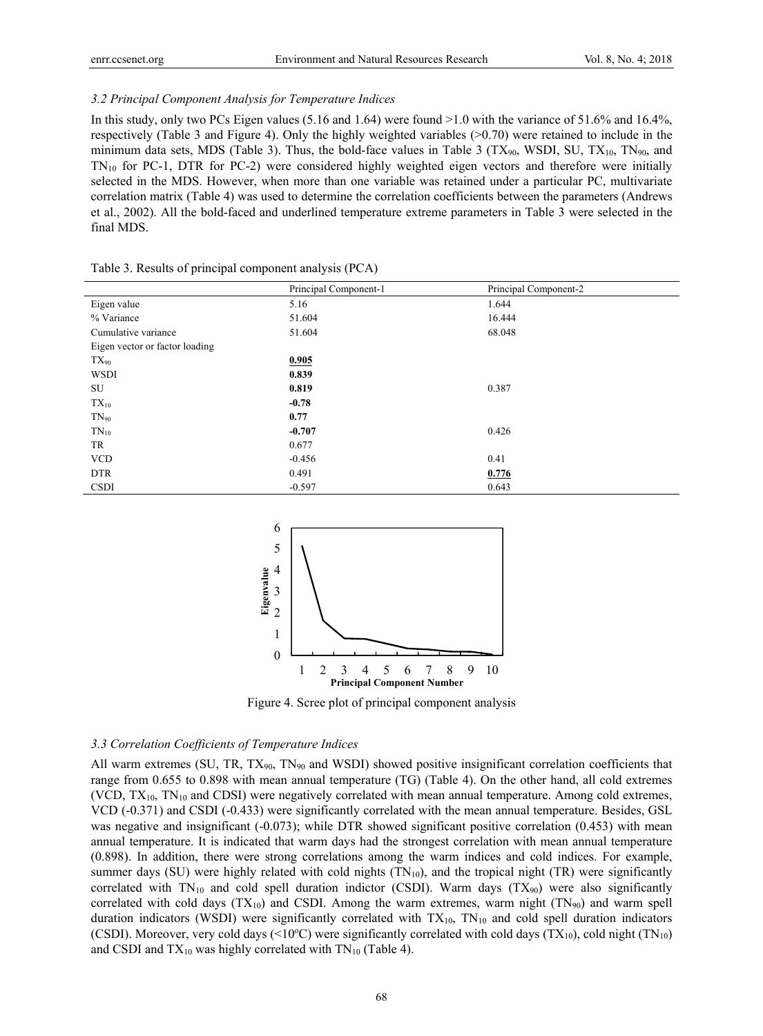## *3.2 Principal Component Analysis for Temperature Indices*

In this study, only two PCs Eigen values (5.16 and 1.64) were found >1.0 with the variance of 51.6% and 16.4%, respectively (Table 3 and Figure 4). Only the highly weighted variables (>0.70) were retained to include in the minimum data sets, MDS (Table 3). Thus, the bold-face values in Table 3 (TX $_{90}$ , WSDI, SU, TX<sub>10</sub>, TN $_{90}$ , and  $TN_{10}$  for PC-1, DTR for PC-2) were considered highly weighted eigen vectors and therefore were initially selected in the MDS. However, when more than one variable was retained under a particular PC, multivariate correlation matrix (Table 4) was used to determine the correlation coefficients between the parameters (Andrews et al., 2002). All the bold-faced and underlined temperature extreme parameters in Table 3 were selected in the final MDS.

|                                | Principal Component-1 | Principal Component-2 |
|--------------------------------|-----------------------|-----------------------|
| Eigen value                    | 5.16                  | 1.644                 |
| % Variance                     | 51.604                | 16.444                |
| Cumulative variance            | 51.604                | 68.048                |
| Eigen vector or factor loading |                       |                       |
| $TX_{90}$                      | 0.905                 |                       |
| <b>WSDI</b>                    | 0.839                 |                       |
| SU                             | 0.819                 | 0.387                 |
| $TX_{10}$                      | $-0.78$               |                       |
| $TN_{90}$                      | 0.77                  |                       |
| $TN_{10}$                      | $-0.707$              | 0.426                 |
| TR                             | 0.677                 |                       |
| <b>VCD</b>                     | $-0.456$              | 0.41                  |
| <b>DTR</b>                     | 0.491                 | 0.776                 |
| <b>CSDI</b>                    | $-0.597$              | 0.643                 |

Table 3. Results of principal component analysis (PCA)



Figure 4. Scree plot of principal component analysis

#### *3.3 Correlation Coefficients of Temperature Indices*

All warm extremes (SU, TR,  $TX_{90}$ , TN<sub>90</sub> and WSDI) showed positive insignificant correlation coefficients that range from 0.655 to 0.898 with mean annual temperature (TG) (Table 4). On the other hand, all cold extremes (VCD,  $TX_{10}$ ,  $TN_{10}$  and CDSI) were negatively correlated with mean annual temperature. Among cold extremes, VCD (-0.371) and CSDI (-0.433) were significantly correlated with the mean annual temperature. Besides, GSL was negative and insignificant (-0.073); while DTR showed significant positive correlation (0.453) with mean annual temperature. It is indicated that warm days had the strongest correlation with mean annual temperature (0.898). In addition, there were strong correlations among the warm indices and cold indices. For example, summer days (SU) were highly related with cold nights  $(TN_{10})$ , and the tropical night  $(TR)$  were significantly correlated with  $TN_{10}$  and cold spell duration indictor (CSDI). Warm days (TX<sub>90</sub>) were also significantly correlated with cold days  $(TX_{10})$  and CSDI. Among the warm extremes, warm night  $(TN_{90})$  and warm spell duration indicators (WSDI) were significantly correlated with  $TX_{10}$ ,  $TN_{10}$  and cold spell duration indicators (CSDI). Moreover, very cold days (<10°C) were significantly correlated with cold days (TX<sub>10</sub>), cold night (TN<sub>10</sub>) and CSDI and  $TX_{10}$  was highly correlated with  $TN_{10}$  (Table 4).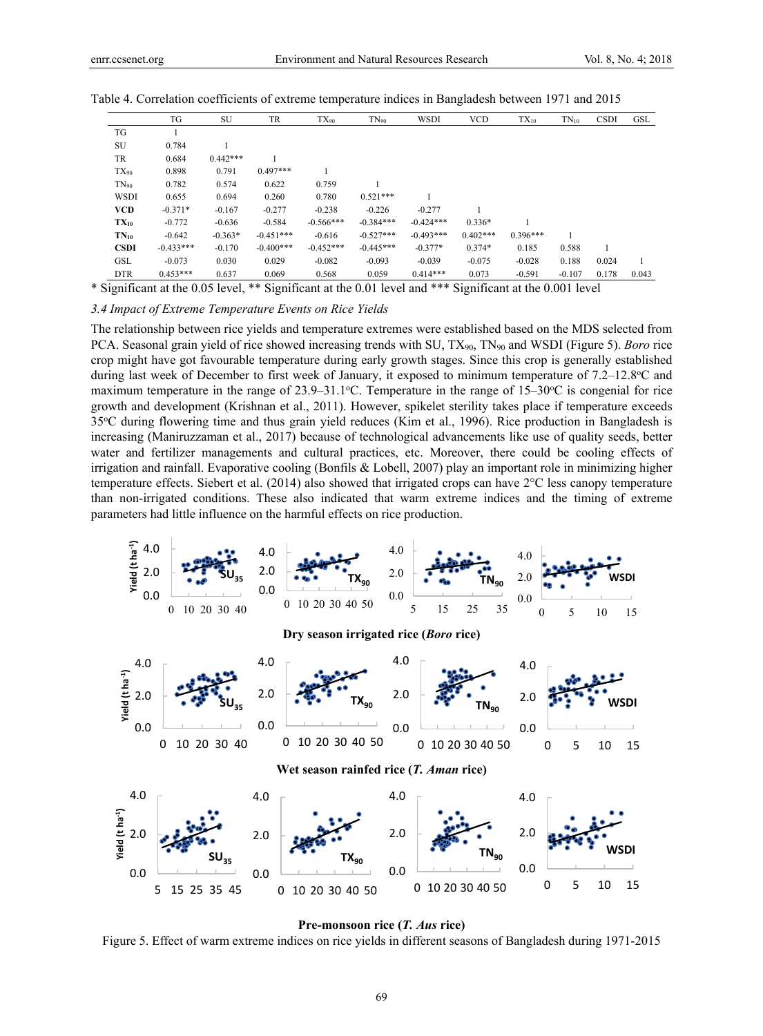|             | TG          | SU         | TR          | $TX_{90}$   | $TN_{90}$   | <b>WSDI</b> | <b>VCD</b> | $TX_{10}$  | $TN_{10}$ | <b>CSDI</b> | GSL   |
|-------------|-------------|------------|-------------|-------------|-------------|-------------|------------|------------|-----------|-------------|-------|
| TG          |             |            |             |             |             |             |            |            |           |             |       |
| SU          | 0.784       |            |             |             |             |             |            |            |           |             |       |
| TR          | 0.684       | $0.442***$ |             |             |             |             |            |            |           |             |       |
| $TX_{90}$   | 0.898       | 0.791      | $0.497***$  |             |             |             |            |            |           |             |       |
| $TN_{90}$   | 0.782       | 0.574      | 0.622       | 0.759       |             |             |            |            |           |             |       |
| <b>WSDI</b> | 0.655       | 0.694      | 0.260       | 0.780       | $0.521***$  |             |            |            |           |             |       |
| <b>VCD</b>  | $-0.371*$   | $-0.167$   | $-0.277$    | $-0.238$    | $-0.226$    | $-0.277$    |            |            |           |             |       |
| $TX_{10}$   | $-0.772$    | $-0.636$   | $-0.584$    | $-0.566***$ | $-0.384***$ | $-0.424***$ | $0.336*$   |            |           |             |       |
| $TN_{10}$   | $-0.642$    | $-0.363*$  | $-0.451***$ | $-0.616$    | $-0.527***$ | $-0.493***$ | $0.402***$ | $0.396***$ |           |             |       |
| <b>CSDI</b> | $-0.433***$ | $-0.170$   | $-0.400***$ | $-0.452***$ | $-0.445***$ | $-0.377*$   | $0.374*$   | 0.185      | 0.588     |             |       |
| GSL         | $-0.073$    | 0.030      | 0.029       | $-0.082$    | $-0.093$    | $-0.039$    | $-0.075$   | $-0.028$   | 0.188     | 0.024       |       |
| <b>DTR</b>  | $0.453***$  | 0.637      | 0.069       | 0.568       | 0.059       | $0.414***$  | 0.073      | $-0.591$   | $-0.107$  | 0.178       | 0.043 |

Table 4. Correlation coefficients of extreme temperature indices in Bangladesh between 1971 and 2015

\* Significant at the 0.05 level, \*\* Significant at the 0.01 level and \*\*\* Significant at the 0.001 level

*3.4 Impact of Extreme Temperature Events on Rice Yields* 

The relationship between rice yields and temperature extremes were established based on the MDS selected from PCA. Seasonal grain yield of rice showed increasing trends with SU, TX90, TN90 and WSDI (Figure 5). *Boro* rice crop might have got favourable temperature during early growth stages. Since this crop is generally established during last week of December to first week of January, it exposed to minimum temperature of 7.2–12.8°C and maximum temperature in the range of  $23.9-31.1^{\circ}$ C. Temperature in the range of  $15-30^{\circ}$ C is congenial for rice growth and development (Krishnan et al., 2011). However, spikelet sterility takes place if temperature exceeds 35°C during flowering time and thus grain yield reduces (Kim et al., 1996). Rice production in Bangladesh is increasing (Maniruzzaman et al., 2017) because of technological advancements like use of quality seeds, better water and fertilizer managements and cultural practices, etc. Moreover, there could be cooling effects of irrigation and rainfall. Evaporative cooling (Bonfils & Lobell, 2007) play an important role in minimizing higher temperature effects. Siebert et al. (2014) also showed that irrigated crops can have 2°C less canopy temperature than non-irrigated conditions. These also indicated that warm extreme indices and the timing of extreme parameters had little influence on the harmful effects on rice production.





Figure 5. Effect of warm extreme indices on rice yields in different seasons of Bangladesh during 1971-2015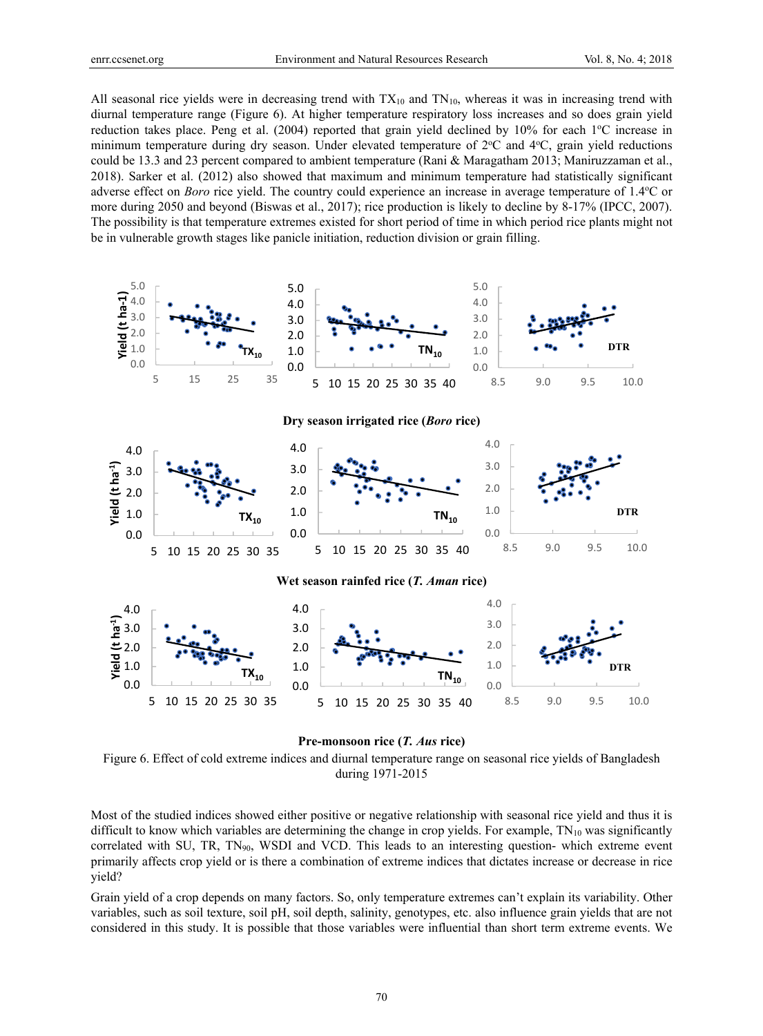All seasonal rice yields were in decreasing trend with  $TX_{10}$  and  $TN_{10}$ , whereas it was in increasing trend with diurnal temperature range (Figure 6). At higher temperature respiratory loss increases and so does grain yield reduction takes place. Peng et al. (2004) reported that grain yield declined by 10% for each 1°C increase in minimum temperature during dry season. Under elevated temperature of 2°C and 4°C, grain yield reductions could be 13.3 and 23 percent compared to ambient temperature (Rani & Maragatham 2013; Maniruzzaman et al., 2018). Sarker et al. (2012) also showed that maximum and minimum temperature had statistically significant adverse effect on *Boro* rice yield. The country could experience an increase in average temperature of 1.4°C or more during 2050 and beyond (Biswas et al., 2017); rice production is likely to decline by 8-17% (IPCC, 2007). The possibility is that temperature extremes existed for short period of time in which period rice plants might not be in vulnerable growth stages like panicle initiation, reduction division or grain filling.



#### **Pre-monsoon rice (***T. Aus* **rice)**

Figure 6. Effect of cold extreme indices and diurnal temperature range on seasonal rice yields of Bangladesh during 1971-2015

Most of the studied indices showed either positive or negative relationship with seasonal rice yield and thus it is difficult to know which variables are determining the change in crop yields. For example,  $TN_{10}$  was significantly correlated with SU, TR,  $TN_{90}$ , WSDI and VCD. This leads to an interesting question- which extreme event primarily affects crop yield or is there a combination of extreme indices that dictates increase or decrease in rice yield?

Grain yield of a crop depends on many factors. So, only temperature extremes can't explain its variability. Other variables, such as soil texture, soil pH, soil depth, salinity, genotypes, etc. also influence grain yields that are not considered in this study. It is possible that those variables were influential than short term extreme events. We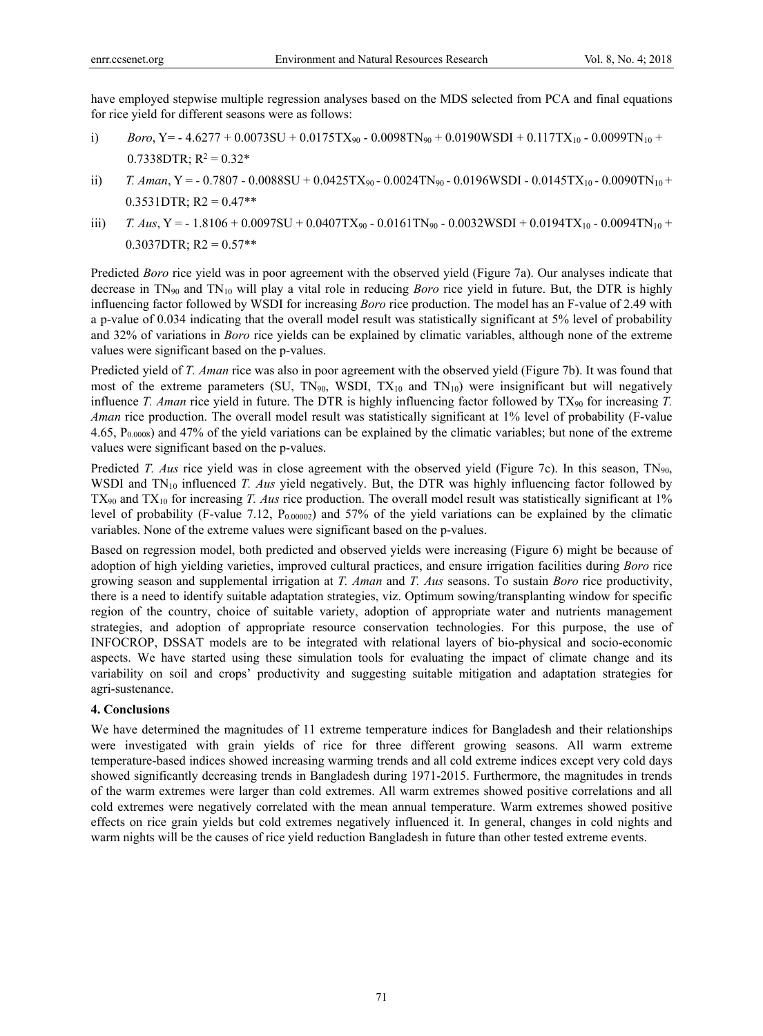have employed stepwise multiple regression analyses based on the MDS selected from PCA and final equations for rice yield for different seasons were as follows:

- i)  $Boro, Y = -4.6277 + 0.0073SU + 0.0175TX_{90} 0.0098TN_{90} + 0.0190WSDI + 0.117TX_{10} 0.0099TN_{10} + 0.0190WSDI$  $0.7338$ DTR; R<sup>2</sup> =  $0.32*$
- ii) *T. Aman*, Y = 0.7807 0.0088SU + 0.0425TX<sub>90</sub> 0.0024TN<sub>90</sub> 0.0196WSDI 0.0145TX<sub>10</sub> 0.0090TN<sub>10</sub> +  $0.3531$ DTR; R2 = 0.47\*\*
- iii)  $T. \text{Ans, Y} = -1.8106 + 0.0097S \text{U} + 0.0407 \text{TX}_{90} 0.0161 \text{TN}_{90} 0.0032 \text{WSDI} + 0.0194 \text{TX}_{10} 0.0094 \text{TN}_{10} + 0.0194 \text{TX}_{10}$  $0.3037$ DTR; R2 =  $0.57**$

Predicted *Boro* rice yield was in poor agreement with the observed yield (Figure 7a). Our analyses indicate that decrease in TN90 and TN10 will play a vital role in reducing *Boro* rice yield in future. But, the DTR is highly influencing factor followed by WSDI for increasing *Boro* rice production. The model has an F-value of 2.49 with a p-value of 0.034 indicating that the overall model result was statistically significant at 5% level of probability and 32% of variations in *Boro* rice yields can be explained by climatic variables, although none of the extreme values were significant based on the p-values.

Predicted yield of *T. Aman* rice was also in poor agreement with the observed yield (Figure 7b). It was found that most of the extreme parameters (SU, TN<sub>90</sub>, WSDI, TX<sub>10</sub> and TN<sub>10</sub>) were insignificant but will negatively influence *T. Aman* rice yield in future. The DTR is highly influencing factor followed by  $TX_{90}$  for increasing *T*. *Aman* rice production. The overall model result was statistically significant at 1% level of probability (F-value 4.65,  $P_{0.0008}$ ) and 47% of the yield variations can be explained by the climatic variables; but none of the extreme values were significant based on the p-values.

Predicted *T. Aus* rice yield was in close agreement with the observed yield (Figure 7c). In this season, TN<sub>90</sub>, WSDI and TN<sub>10</sub> influenced *T. Aus* yield negatively. But, the DTR was highly influencing factor followed by TX90 and TX10 for increasing *T. Aus* rice production. The overall model result was statistically significant at 1% level of probability (F-value 7.12,  $P_{0.00002}$ ) and 57% of the yield variations can be explained by the climatic variables. None of the extreme values were significant based on the p-values.

Based on regression model, both predicted and observed yields were increasing (Figure 6) might be because of adoption of high yielding varieties, improved cultural practices, and ensure irrigation facilities during *Boro* rice growing season and supplemental irrigation at *T. Aman* and *T. Aus* seasons. To sustain *Boro* rice productivity, there is a need to identify suitable adaptation strategies, viz. Optimum sowing/transplanting window for specific region of the country, choice of suitable variety, adoption of appropriate water and nutrients management strategies, and adoption of appropriate resource conservation technologies. For this purpose, the use of INFOCROP, DSSAT models are to be integrated with relational layers of bio-physical and socio-economic aspects. We have started using these simulation tools for evaluating the impact of climate change and its variability on soil and crops' productivity and suggesting suitable mitigation and adaptation strategies for agri-sustenance.

## **4. Conclusions**

We have determined the magnitudes of 11 extreme temperature indices for Bangladesh and their relationships were investigated with grain yields of rice for three different growing seasons. All warm extreme temperature-based indices showed increasing warming trends and all cold extreme indices except very cold days showed significantly decreasing trends in Bangladesh during 1971-2015. Furthermore, the magnitudes in trends of the warm extremes were larger than cold extremes. All warm extremes showed positive correlations and all cold extremes were negatively correlated with the mean annual temperature. Warm extremes showed positive effects on rice grain yields but cold extremes negatively influenced it. In general, changes in cold nights and warm nights will be the causes of rice yield reduction Bangladesh in future than other tested extreme events.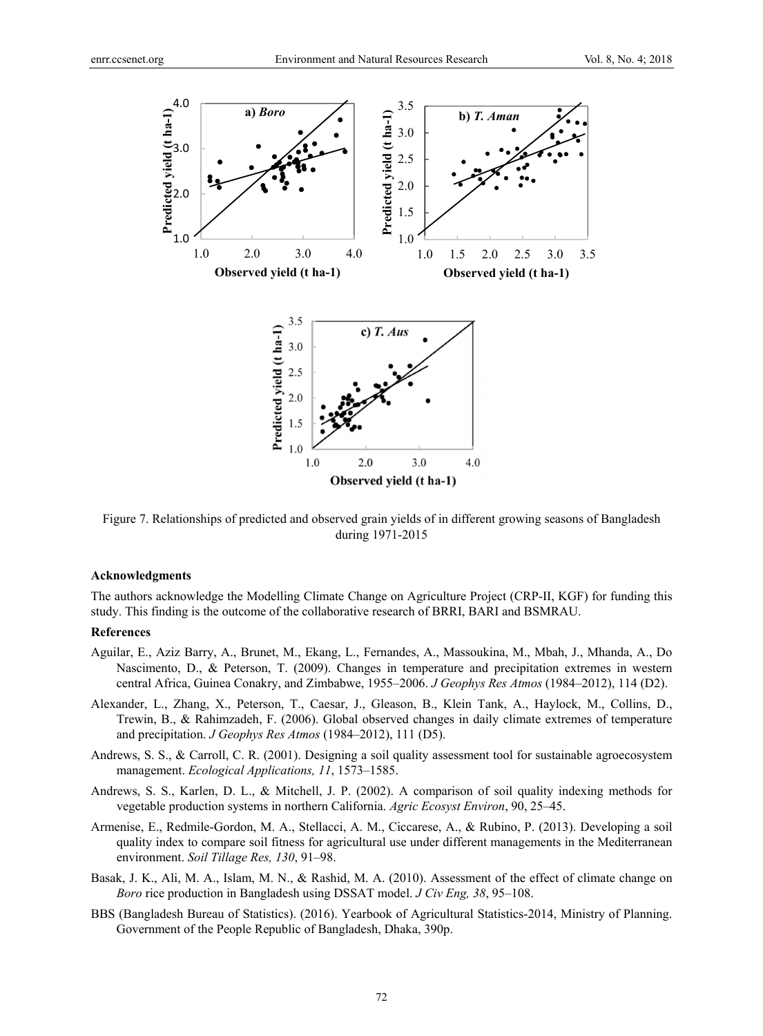

Figure 7. Relationships of predicted and observed grain yields of in different growing seasons of Bangladesh during 1971-2015

### **Acknowledgments**

The authors acknowledge the Modelling Climate Change on Agriculture Project (CRP-II, KGF) for funding this study. This finding is the outcome of the collaborative research of BRRI, BARI and BSMRAU.

### **References**

- Aguilar, E., Aziz Barry, A., Brunet, M., Ekang, L., Fernandes, A., Massoukina, M., Mbah, J., Mhanda, A., Do Nascimento, D., & Peterson, T. (2009). Changes in temperature and precipitation extremes in western central Africa, Guinea Conakry, and Zimbabwe, 1955–2006. *J Geophys Res Atmos* (1984–2012), 114 (D2).
- Alexander, L., Zhang, X., Peterson, T., Caesar, J., Gleason, B., Klein Tank, A., Haylock, M., Collins, D., Trewin, B., & Rahimzadeh, F. (2006). Global observed changes in daily climate extremes of temperature and precipitation. *J Geophys Res Atmos* (1984–2012), 111 (D5).
- Andrews, S. S., & Carroll, C. R. (2001). Designing a soil quality assessment tool for sustainable agroecosystem management. *Ecological Applications, 11*, 1573–1585.
- Andrews, S. S., Karlen, D. L., & Mitchell, J. P. (2002). A comparison of soil quality indexing methods for vegetable production systems in northern California. *Agric Ecosyst Environ*, 90, 25–45.
- Armenise, E., Redmile-Gordon, M. A., Stellacci, A. M., Ciccarese, A., & Rubino, P. (2013). Developing a soil quality index to compare soil fitness for agricultural use under different managements in the Mediterranean environment. *Soil Tillage Res, 130*, 91–98.
- Basak, J. K., Ali, M. A., Islam, M. N., & Rashid, M. A. (2010). Assessment of the effect of climate change on *Boro* rice production in Bangladesh using DSSAT model. *J Civ Eng, 38*, 95–108.
- BBS (Bangladesh Bureau of Statistics). (2016). Yearbook of Agricultural Statistics-2014, Ministry of Planning. Government of the People Republic of Bangladesh, Dhaka, 390p.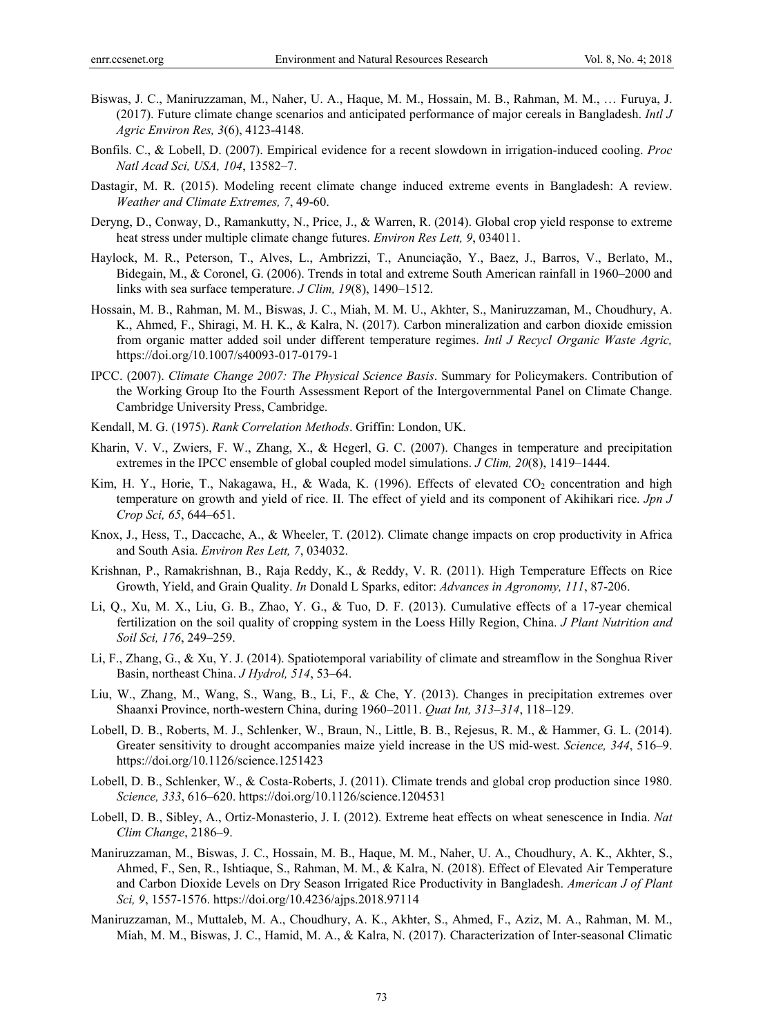- Biswas, J. C., Maniruzzaman, M., Naher, U. A., Haque, M. M., Hossain, M. B., Rahman, M. M., … Furuya, J. (2017). Future climate change scenarios and anticipated performance of major cereals in Bangladesh. *Intl J Agric Environ Res, 3*(6), 4123-4148.
- Bonfils. C., & Lobell, D. (2007). Empirical evidence for a recent slowdown in irrigation-induced cooling. *Proc Natl Acad Sci, USA, 104*, 13582–7.
- Dastagir, M. R. (2015). Modeling recent climate change induced extreme events in Bangladesh: A review. *Weather and Climate Extremes, 7*, 49-60.
- Deryng, D., Conway, D., Ramankutty, N., Price, J., & Warren, R. (2014). Global crop yield response to extreme heat stress under multiple climate change futures. *Environ Res Lett, 9*, 034011.
- Haylock, M. R., Peterson, T., Alves, L., Ambrizzi, T., Anunciação, Y., Baez, J., Barros, V., Berlato, M., Bidegain, M., & Coronel, G. (2006). Trends in total and extreme South American rainfall in 1960–2000 and links with sea surface temperature. *J Clim, 19*(8), 1490–1512.
- Hossain, M. B., Rahman, M. M., Biswas, J. C., Miah, M. M. U., Akhter, S., Maniruzzaman, M., Choudhury, A. K., Ahmed, F., Shiragi, M. H. K., & Kalra, N. (2017). Carbon mineralization and carbon dioxide emission from organic matter added soil under different temperature regimes. *Intl J Recycl Organic Waste Agric,* https://doi.org/10.1007/s40093-017-0179-1
- IPCC. (2007). *Climate Change 2007: The Physical Science Basis*. Summary for Policymakers. Contribution of the Working Group Ito the Fourth Assessment Report of the Intergovernmental Panel on Climate Change. Cambridge University Press, Cambridge.
- Kendall, M. G. (1975). *Rank Correlation Methods*. Griffin: London, UK.
- Kharin, V. V., Zwiers, F. W., Zhang, X., & Hegerl, G. C. (2007). Changes in temperature and precipitation extremes in the IPCC ensemble of global coupled model simulations. *J Clim, 20*(8), 1419–1444.
- Kim, H. Y., Horie, T., Nakagawa, H., & Wada, K. (1996). Effects of elevated CO<sub>2</sub> concentration and high temperature on growth and yield of rice. II. The effect of yield and its component of Akihikari rice. *Jpn J Crop Sci, 65*, 644–651.
- Knox, J., Hess, T., Daccache, A., & Wheeler, T. (2012). Climate change impacts on crop productivity in Africa and South Asia. *Environ Res Lett, 7*, 034032.
- Krishnan, P., Ramakrishnan, B., Raja Reddy, K., & Reddy, V. R. (2011). High Temperature Effects on Rice Growth, Yield, and Grain Quality. *In* Donald L Sparks, editor: *Advances in Agronomy, 111*, 87-206.
- Li, Q., Xu, M. X., Liu, G. B., Zhao, Y. G., & Tuo, D. F. (2013). Cumulative effects of a 17-year chemical fertilization on the soil quality of cropping system in the Loess Hilly Region, China. *J Plant Nutrition and Soil Sci, 176*, 249–259.
- Li, F., Zhang, G., & Xu, Y. J. (2014). Spatiotemporal variability of climate and streamflow in the Songhua River Basin, northeast China. *J Hydrol, 514*, 53–64.
- Liu, W., Zhang, M., Wang, S., Wang, B., Li, F., & Che, Y. (2013). Changes in precipitation extremes over Shaanxi Province, north-western China, during 1960–2011. *Quat Int, 313–314*, 118–129.
- Lobell, D. B., Roberts, M. J., Schlenker, W., Braun, N., Little, B. B., Rejesus, R. M., & Hammer, G. L. (2014). Greater sensitivity to drought accompanies maize yield increase in the US mid-west. *Science, 344*, 516–9. https://doi.org/10.1126/science.1251423
- Lobell, D. B., Schlenker, W., & Costa-Roberts, J. (2011). Climate trends and global crop production since 1980. *Science, 333*, 616–620. https://doi.org/10.1126/science.1204531
- Lobell, D. B., Sibley, A., Ortiz-Monasterio, J. I. (2012). Extreme heat effects on wheat senescence in India. *Nat Clim Change*, 2186–9.
- Maniruzzaman, M., Biswas, J. C., Hossain, M. B., Haque, M. M., Naher, U. A., Choudhury, A. K., Akhter, S., Ahmed, F., Sen, R., Ishtiaque, S., Rahman, M. M., & Kalra, N. (2018). Effect of Elevated Air Temperature and Carbon Dioxide Levels on Dry Season Irrigated Rice Productivity in Bangladesh. *American J of Plant Sci, 9*, 1557-1576. https://doi.org/10.4236/ajps.2018.97114
- Maniruzzaman, M., Muttaleb, M. A., Choudhury, A. K., Akhter, S., Ahmed, F., Aziz, M. A., Rahman, M. M., Miah, M. M., Biswas, J. C., Hamid, M. A., & Kalra, N. (2017). Characterization of Inter-seasonal Climatic